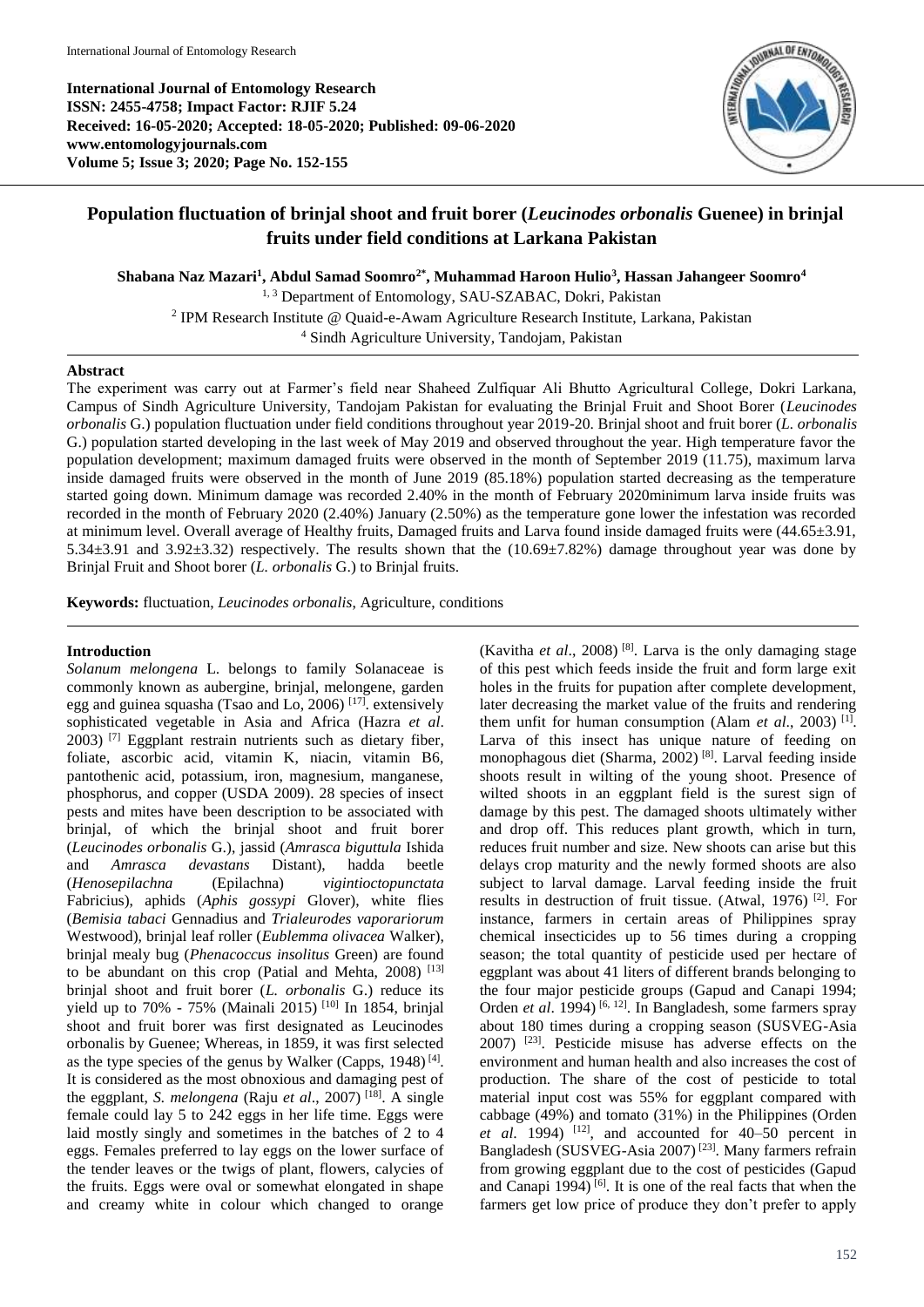**International Journal of Entomology Research ISSN: 2455-4758; Impact Factor: RJIF 5.24 Received: 16-05-2020; Accepted: 18-05-2020; Published: 09-06-2020 www.entomologyjournals.com Volume 5; Issue 3; 2020; Page No. 152-155**



# **Population fluctuation of brinjal shoot and fruit borer (***Leucinodes orbonalis* **Guenee) in brinjal fruits under field conditions at Larkana Pakistan**

**Shabana Naz Mazari<sup>1</sup> , Abdul Samad Soomro2\*, Muhammad Haroon Hulio<sup>3</sup> , Hassan Jahangeer Soomro<sup>4</sup>**

<sup>1, 3</sup> Department of Entomology, SAU-SZABAC, Dokri, Pakistan

2 IPM Research Institute @ Quaid-e-Awam Agriculture Research Institute, Larkana, Pakistan

<sup>4</sup> Sindh Agriculture University, Tandojam, Pakistan

### **Abstract**

The experiment was carry out at Farmer's field near Shaheed Zulfiquar Ali Bhutto Agricultural College, Dokri Larkana, Campus of Sindh Agriculture University, Tandojam Pakistan for evaluating the Brinjal Fruit and Shoot Borer (*Leucinodes orbonalis* G.) population fluctuation under field conditions throughout year 2019-20. Brinjal shoot and fruit borer (*L. orbonalis*  G.) population started developing in the last week of May 2019 and observed throughout the year. High temperature favor the population development; maximum damaged fruits were observed in the month of September 2019 (11.75), maximum larva inside damaged fruits were observed in the month of June 2019 (85.18%) population started decreasing as the temperature started going down. Minimum damage was recorded 2.40% in the month of February 2020minimum larva inside fruits was recorded in the month of February 2020 (2.40%) January (2.50%) as the temperature gone lower the infestation was recorded at minimum level. Overall average of Healthy fruits, Damaged fruits and Larva found inside damaged fruits were (44.65±3.91, 5.34±3.91 and 3.92±3.32) respectively. The results shown that the (10.69±7.82%) damage throughout year was done by Brinjal Fruit and Shoot borer (*L. orbonalis* G.) to Brinjal fruits.

**Keywords:** fluctuation, *Leucinodes orbonalis*, Agriculture, conditions

## **Introduction**

*Solanum melongena* L. belongs to family Solanaceae is commonly known as aubergine, brinjal, melongene, garden egg and guinea squasha (Tsao and Lo, 2006) [17]. extensively sophisticated vegetable in Asia and Africa (Hazra *et al*. 2003) [7] Eggplant restrain nutrients such as dietary fiber, foliate, ascorbic acid, vitamin K, niacin, vitamin B6, pantothenic acid, potassium, iron, magnesium, manganese, phosphorus, and copper (USDA 2009). 28 species of insect pests and mites have been description to be associated with brinjal, of which the brinjal shoot and fruit borer (*Leucinodes orbonalis* G.), jassid (*Amrasca biguttula* Ishida and *Amrasca devastans* Distant), hadda beetle (*Henosepilachna* (Epilachna) *vigintioctopunctata*  Fabricius), aphids (*Aphis gossypi* Glover), white flies (*Bemisia tabaci* Gennadius and *Trialeurodes vaporariorum* Westwood), brinjal leaf roller (*Eublemma olivacea* Walker), brinjal mealy bug (*Phenacoccus insolitus* Green) are found to be abundant on this crop (Patial and Mehta,  $2008$ ) [13] brinjal shoot and fruit borer (*L. orbonalis* G.) reduce its yield up to 70% - 75% (Mainali 2015) [10] In 1854, brinjal shoot and fruit borer was first designated as Leucinodes orbonalis by Guenee; Whereas, in 1859, it was first selected as the type species of the genus by Walker (Capps,  $1948$ )<sup>[4]</sup>. It is considered as the most obnoxious and damaging pest of the eggplant, *S. melongena* (Raju *et al*., 2007) [18]. A single female could lay 5 to 242 eggs in her life time. Eggs were laid mostly singly and sometimes in the batches of 2 to 4 eggs. Females preferred to lay eggs on the lower surface of the tender leaves or the twigs of plant, flowers, calycies of the fruits. Eggs were oval or somewhat elongated in shape and creamy white in colour which changed to orange

(Kavitha *et al*., 2008) [8]. Larva is the only damaging stage of this pest which feeds inside the fruit and form large exit holes in the fruits for pupation after complete development, later decreasing the market value of the fruits and rendering them unfit for human consumption (Alam *et al.*, 2003)<sup>[1]</sup>. Larva of this insect has unique nature of feeding on monophagous diet (Sharma, 2002) [8]. Larval feeding inside shoots result in wilting of the young shoot. Presence of wilted shoots in an eggplant field is the surest sign of damage by this pest. The damaged shoots ultimately wither and drop off. This reduces plant growth, which in turn, reduces fruit number and size. New shoots can arise but this delays crop maturity and the newly formed shoots are also subject to larval damage. Larval feeding inside the fruit results in destruction of fruit tissue. (Atwal, 1976) [2]. For instance, farmers in certain areas of Philippines spray chemical insecticides up to 56 times during a cropping season; the total quantity of pesticide used per hectare of eggplant was about 41 liters of different brands belonging to the four major pesticide groups (Gapud and Canapi 1994; Orden *et al.* 1994)<sup>[6, 12]</sup>. In Bangladesh, some farmers spray about 180 times during a cropping season (SUSVEG-Asia 2007) [23]. Pesticide misuse has adverse effects on the environment and human health and also increases the cost of production. The share of the cost of pesticide to total material input cost was 55% for eggplant compared with cabbage (49%) and tomato (31%) in the Philippines (Orden *et al.* 1994) <sup>[12]</sup>, and accounted for  $40-50$  percent in Bangladesh (SUSVEG-Asia 2007) [23]. Many farmers refrain from growing eggplant due to the cost of pesticides (Gapud and Canapi 1994) [6]. It is one of the real facts that when the farmers get low price of produce they don't prefer to apply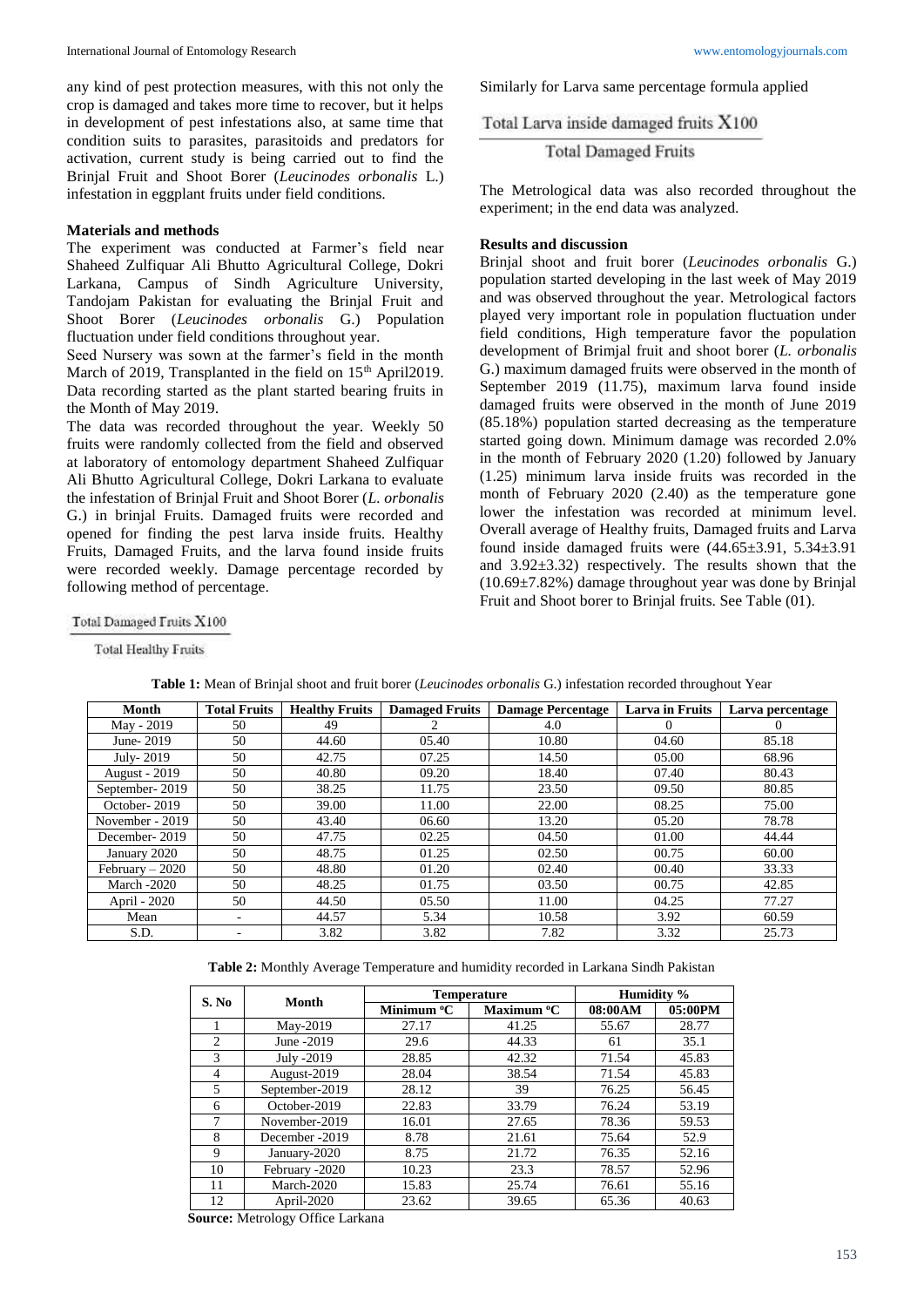any kind of pest protection measures, with this not only the crop is damaged and takes more time to recover, but it helps in development of pest infestations also, at same time that condition suits to parasites, parasitoids and predators for activation, current study is being carried out to find the Brinjal Fruit and Shoot Borer (*Leucinodes orbonalis* L.) infestation in eggplant fruits under field conditions.

#### **Materials and methods**

The experiment was conducted at Farmer's field near Shaheed Zulfiquar Ali Bhutto Agricultural College, Dokri Larkana, Campus of Sindh Agriculture University, Tandojam Pakistan for evaluating the Brinjal Fruit and Shoot Borer (*Leucinodes orbonalis* G.) Population fluctuation under field conditions throughout year.

Seed Nursery was sown at the farmer's field in the month March of 2019, Transplanted in the field on 15<sup>th</sup> April2019. Data recording started as the plant started bearing fruits in the Month of May 2019.

The data was recorded throughout the year. Weekly 50 fruits were randomly collected from the field and observed at laboratory of entomology department Shaheed Zulfiquar Ali Bhutto Agricultural College, Dokri Larkana to evaluate the infestation of Brinjal Fruit and Shoot Borer (*L. orbonalis*  G.) in brinjal Fruits. Damaged fruits were recorded and opened for finding the pest larva inside fruits. Healthy Fruits, Damaged Fruits, and the larva found inside fruits were recorded weekly. Damage percentage recorded by following method of percentage.

Similarly for Larva same percentage formula applied

Total Larva inside damaged fruits X100

**Total Damaged Fruits** 

The Metrological data was also recorded throughout the experiment; in the end data was analyzed.

#### **Results and discussion**

Brinjal shoot and fruit borer (*Leucinodes orbonalis* G.) population started developing in the last week of May 2019 and was observed throughout the year. Metrological factors played very important role in population fluctuation under field conditions, High temperature favor the population development of Brimjal fruit and shoot borer (*L. orbonalis* G.) maximum damaged fruits were observed in the month of September 2019 (11.75), maximum larva found inside damaged fruits were observed in the month of June 2019 (85.18%) population started decreasing as the temperature started going down. Minimum damage was recorded 2.0% in the month of February 2020 (1.20) followed by January (1.25) minimum larva inside fruits was recorded in the month of February 2020 (2.40) as the temperature gone lower the infestation was recorded at minimum level. Overall average of Healthy fruits, Damaged fruits and Larva found inside damaged fruits were  $(44.65\pm3.91, 5.34\pm3.91)$ and 3.92±3.32) respectively. The results shown that the  $(10.69 \pm 7.82\%)$  damage throughout year was done by Brinjal Fruit and Shoot borer to Brinjal fruits. See Table (01).

Total Damaged Fruits X100

**Total Healthy Fruits** 

| Month                | <b>Total Fruits</b> | <b>Healthy Fruits</b> | <b>Damaged Fruits</b> | <b>Damage Percentage</b> | <b>Larva in Fruits</b> | Larva percentage |
|----------------------|---------------------|-----------------------|-----------------------|--------------------------|------------------------|------------------|
| May - 2019           | 50                  | 49                    | 2                     | 4.0                      |                        |                  |
| June-2019            | 50                  | 44.60                 | 05.40                 | 10.80                    | 04.60                  | 85.18            |
| July-2019            | 50                  | 42.75                 | 07.25                 | 14.50                    | 05.00                  | 68.96            |
| <b>August - 2019</b> | 50                  | 40.80                 | 09.20                 | 18.40                    | 07.40                  | 80.43            |
| September-2019       | 50                  | 38.25                 | 11.75                 | 23.50                    | 09.50                  | 80.85            |
| October-2019         | 50                  | 39.00                 | 11.00                 | 22.00                    | 08.25                  | 75.00            |
| November - 2019      | 50                  | 43.40                 | 06.60                 | 13.20                    | 05.20                  | 78.78            |
| December-2019        | 50                  | 47.75                 | 02.25                 | 04.50                    | 01.00                  | 44.44            |
| January 2020         | 50                  | 48.75                 | 01.25                 | 02.50                    | 00.75                  | 60.00            |
| $February - 2020$    | 50                  | 48.80                 | 01.20                 | 02.40                    | 00.40                  | 33.33            |
| <b>March -2020</b>   | 50                  | 48.25                 | 01.75                 | 03.50                    | 00.75                  | 42.85            |
| April - 2020         | 50                  | 44.50                 | 05.50                 | 11.00                    | 04.25                  | 77.27            |
| Mean                 | ۰                   | 44.57                 | 5.34                  | 10.58                    | 3.92                   | 60.59            |
| S.D.                 | ۰                   | 3.82                  | 3.82                  | 7.82                     | 3.32                   | 25.73            |

**Table 1:** Mean of Brinjal shoot and fruit borer (*Leucinodes orbonalis* G.) infestation recorded throughout Year

**Table 2:** Monthly Average Temperature and humidity recorded in Larkana Sindh Pakistan

| S. No          | Month          |                        | <b>Temperature</b>     | Humidity % |         |
|----------------|----------------|------------------------|------------------------|------------|---------|
|                |                | Minimum <sup>o</sup> C | Maximum <sup>o</sup> C | 08:00AM    | 05:00PM |
|                | May-2019       | 27.17                  | 41.25                  | 55.67      | 28.77   |
| $\mathfrak{D}$ | June -2019     | 29.6                   | 44.33                  | 61         | 35.1    |
| 3              | July -2019     | 28.85                  | 42.32                  | 71.54      | 45.83   |
| 4              | August-2019    | 28.04                  | 38.54                  | 71.54      | 45.83   |
| 5              | September-2019 | 28.12                  | 39                     | 76.25      | 56.45   |
| 6              | October-2019   | 22.83                  | 33.79                  | 76.24      | 53.19   |
| 7              | November-2019  | 16.01                  | 27.65                  | 78.36      | 59.53   |
| 8              | December -2019 | 8.78                   | 21.61                  | 75.64      | 52.9    |
| 9              | January-2020   | 8.75                   | 21.72                  | 76.35      | 52.16   |
| 10             | February -2020 | 10.23                  | 23.3                   | 78.57      | 52.96   |
| 11             | March-2020     | 15.83                  | 25.74                  | 76.61      | 55.16   |
| 12             | April-2020     | 23.62                  | 39.65                  | 65.36      | 40.63   |

**Source:** Metrology Office Larkana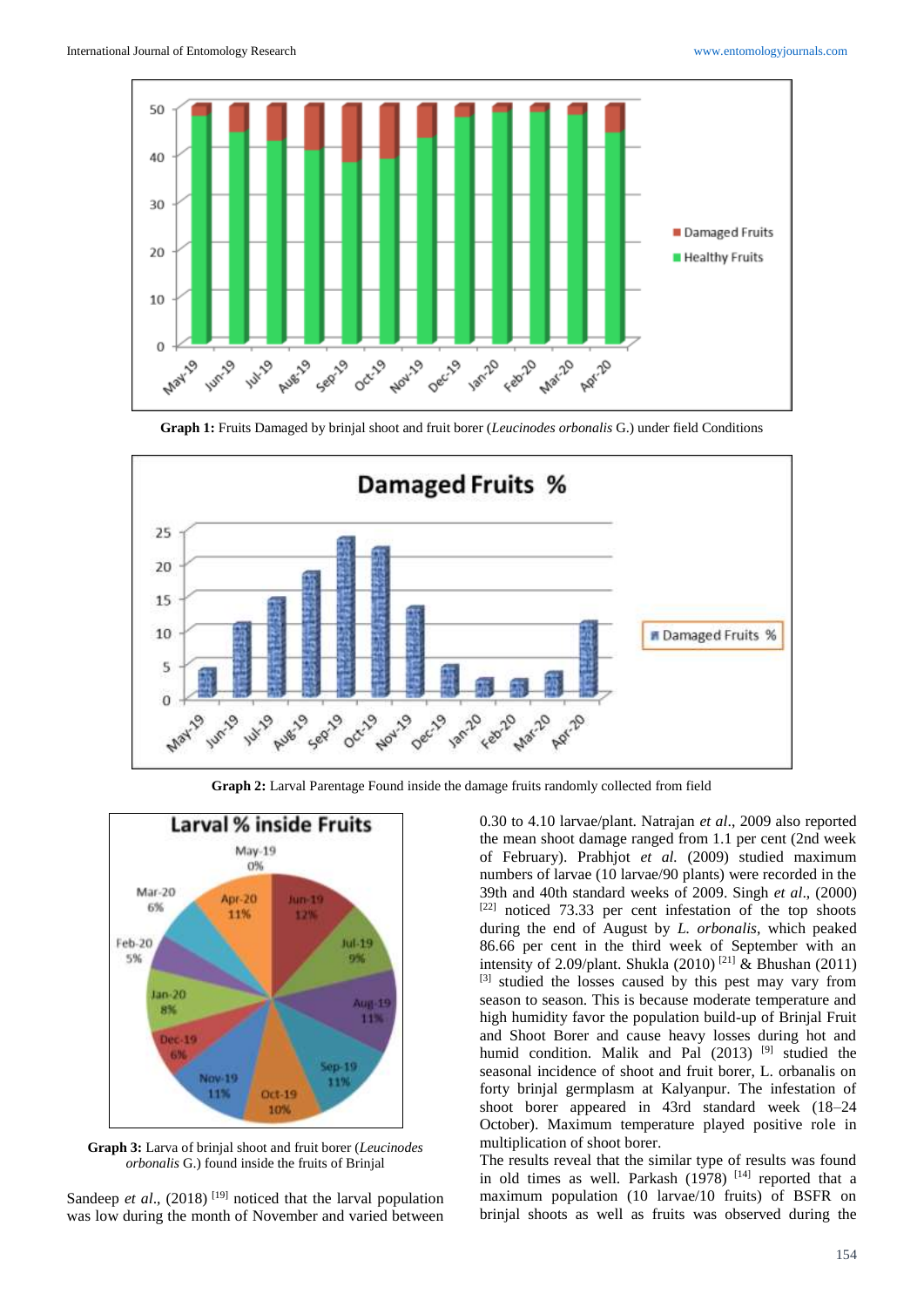

**Graph 1:** Fruits Damaged by brinjal shoot and fruit borer (*Leucinodes orbonalis* G.) under field Conditions



**Graph 2:** Larval Parentage Found inside the damage fruits randomly collected from field



**Graph 3:** Larva of brinjal shoot and fruit borer (*Leucinodes orbonalis* G.) found inside the fruits of Brinjal

Sandeep *et al.*, (2018)<sup>[19]</sup> noticed that the larval population was low during the month of November and varied between 0.30 to 4.10 larvae/plant. Natrajan *et al*., 2009 also reported the mean shoot damage ranged from 1.1 per cent (2nd week of February). Prabhjot *et al.* (2009) studied maximum numbers of larvae (10 larvae/90 plants) were recorded in the 39th and 40th standard weeks of 2009. Singh *et al*., (2000) [22] noticed 73.33 per cent infestation of the top shoots during the end of August by *L. orbonalis*, which peaked 86.66 per cent in the third week of September with an intensity of 2.09/plant. Shukla (2010) [21] & Bhushan (2011) [3] studied the losses caused by this pest may vary from season to season. This is because moderate temperature and high humidity favor the population build-up of Brinjal Fruit and Shoot Borer and cause heavy losses during hot and humid condition. Malik and Pal (2013) <sup>[9]</sup> studied the seasonal incidence of shoot and fruit borer, L. orbanalis on forty brinjal germplasm at Kalyanpur. The infestation of shoot borer appeared in 43rd standard week (18–24 October). Maximum temperature played positive role in multiplication of shoot borer.

The results reveal that the similar type of results was found in old times as well. Parkash  $(1978)$  <sup>[14]</sup> reported that a maximum population (10 larvae/10 fruits) of BSFR on brinjal shoots as well as fruits was observed during the